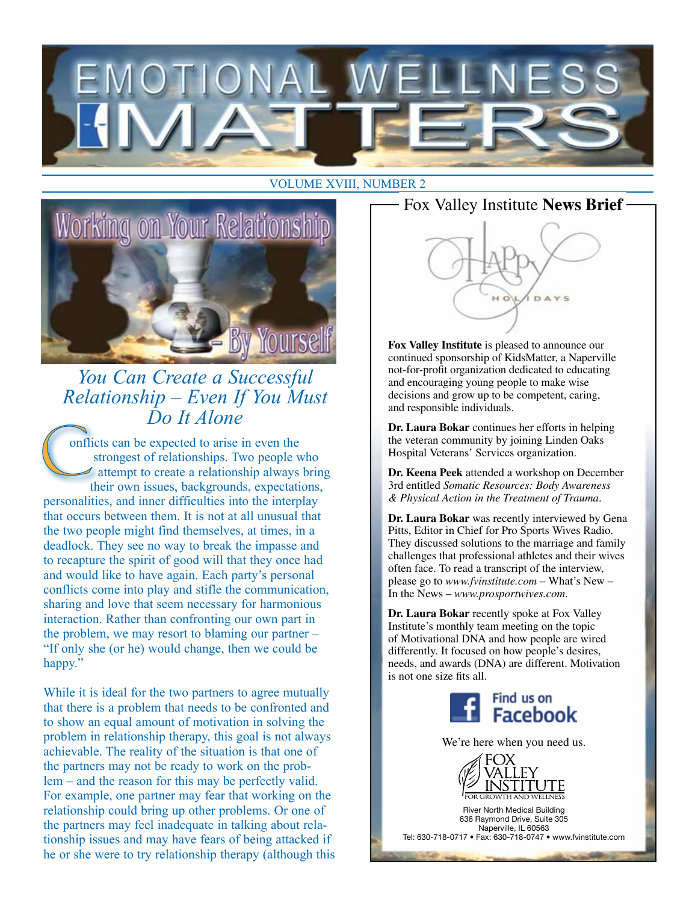# N A I





*You Can Create a Successful Relationship – Even If You Must Do It Alone*

onflicts can be expected to arise in even the strongest of relationships. Two people who attempt to create a relationship always bring their own issues, backgrounds, expectations, personalities, and inner difficulties into the interplay that occurs between them. It is not at all unusual that the two people might find themselves, at times, in a deadlock. They see no way to break the impasse and to recapture the spirit of good will that they once had and would like to have again. Each party's personal conflicts come into play and stifle the communication, sharing and love that seem necessary for harmonious interaction. Rather than confronting our own part in the problem, we may resort to blaming our partner – "If only she (or he) would change, then we could be happy."

While it is ideal for the two partners to agree mutually that there is a problem that needs to be confronted and to show an equal amount of motivation in solving the problem in relationship therapy, this goal is not always achievable. The reality of the situation is that one of the partners may not be ready to work on the problem – and the reason for this may be perfectly valid. For example, one partner may fear that working on the relationship could bring up other problems. Or one of the partners may feel inadequate in talking about relationship issues and may have fears of being attacked if he or she were to try relationship therapy (although this



**Fox Valley Institute** is pleased to announce our continued sponsorship of KidsMatter, a Naperville not-for-profit organization dedicated to educating and encouraging young people to make wise decisions and grow up to be competent, caring, and responsible individuals.

**Dr. Laura Bokar** continues her efforts in helping the veteran community by joining Linden Oaks Hospital Veterans' Services organization.

**Dr. Keena Peek** attended a workshop on December 3rd entitled *Somatic Resources: Body Awareness & Physical Action in the Treatment of Trauma*.

**Dr. Laura Bokar** was recently interviewed by Gena Pitts, Editor in Chief for Pro Sports Wives Radio. They discussed solutions to the marriage and family challenges that professional athletes and their wives often face. To read a transcript of the interview, please go to *www.fvinstitute.com* – What's New – In the News – *www.prosportwives.com*.

**Dr. Laura Bokar** recently spoke at Fox Valley Institute's monthly team meeting on the topic of Motivational DNA and how people are wired differently. It focused on how people's desires, needs, and awards (DNA) are different. Motivation is not one size fits all.



We're here when you need us.



River North Medical Building 636 Raymond Drive, Suite 305 Naperville, IL 60563 Tel: 630-718-0717 • Fax: 630-718-0747 • www.fvinstitute.com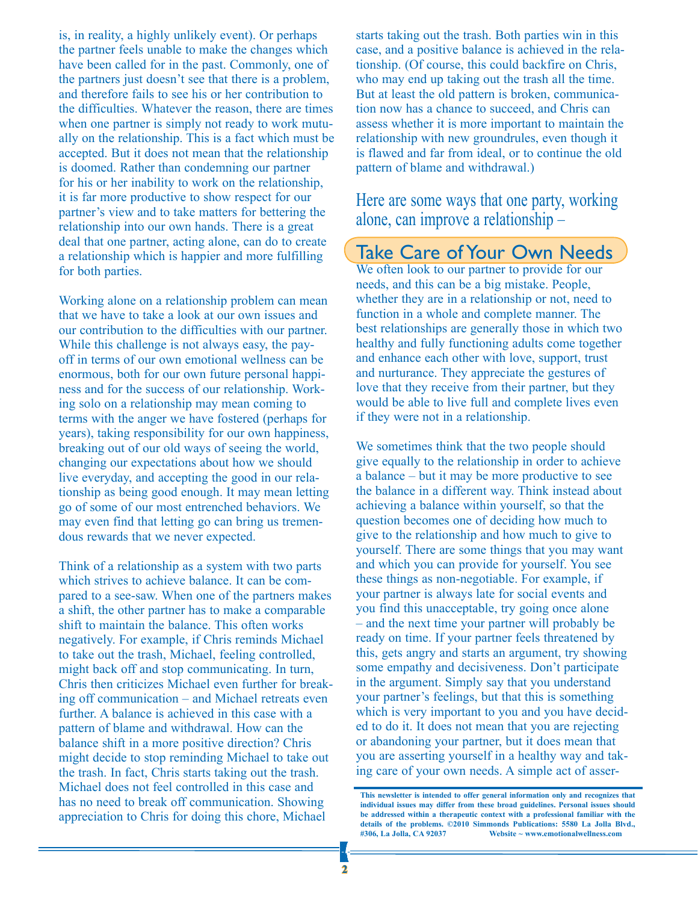is, in reality, a highly unlikely event). Or perhaps the partner feels unable to make the changes which have been called for in the past. Commonly, one of the partners just doesn't see that there is a problem, and therefore fails to see his or her contribution to the difficulties. Whatever the reason, there are times when one partner is simply not ready to work mutually on the relationship. This is a fact which must be accepted. But it does not mean that the relationship is doomed. Rather than condemning our partner for his or her inability to work on the relationship, it is far more productive to show respect for our partner's view and to take matters for bettering the relationship into our own hands. There is a great deal that one partner, acting alone, can do to create a relationship which is happier and more fulfilling for both parties.

Working alone on a relationship problem can mean that we have to take a look at our own issues and our contribution to the difficulties with our partner. While this challenge is not always easy, the payoff in terms of our own emotional wellness can be enormous, both for our own future personal happiness and for the success of our relationship. Working solo on a relationship may mean coming to terms with the anger we have fostered (perhaps for years), taking responsibility for our own happiness, breaking out of our old ways of seeing the world, changing our expectations about how we should live everyday, and accepting the good in our relationship as being good enough. It may mean letting go of some of our most entrenched behaviors. We may even find that letting go can bring us tremendous rewards that we never expected.

Think of a relationship as a system with two parts which strives to achieve balance. It can be compared to a see-saw. When one of the partners makes a shift, the other partner has to make a comparable shift to maintain the balance. This often works negatively. For example, if Chris reminds Michael to take out the trash, Michael, feeling controlled, might back off and stop communicating. In turn, Chris then criticizes Michael even further for breaking off communication – and Michael retreats even further. A balance is achieved in this case with a pattern of blame and withdrawal. How can the balance shift in a more positive direction? Chris might decide to stop reminding Michael to take out the trash. In fact, Chris starts taking out the trash. Michael does not feel controlled in this case and has no need to break off communication. Showing appreciation to Chris for doing this chore, Michael

starts taking out the trash. Both parties win in this case, and a positive balance is achieved in the relationship. (Of course, this could backfire on Chris, who may end up taking out the trash all the time. But at least the old pattern is broken, communication now has a chance to succeed, and Chris can assess whether it is more important to maintain the relationship with new groundrules, even though it is flawed and far from ideal, or to continue the old pattern of blame and withdrawal.)

Here are some ways that one party, working alone, can improve a relationship –

# Take Care of Your Own Needs

We often look to our partner to provide for our needs, and this can be a big mistake. People, whether they are in a relationship or not, need to function in a whole and complete manner. The best relationships are generally those in which two healthy and fully functioning adults come together and enhance each other with love, support, trust and nurturance. They appreciate the gestures of love that they receive from their partner, but they would be able to live full and complete lives even if they were not in a relationship.

We sometimes think that the two people should give equally to the relationship in order to achieve a balance – but it may be more productive to see the balance in a different way. Think instead about achieving a balance within yourself, so that the question becomes one of deciding how much to give to the relationship and how much to give to yourself. There are some things that you may want and which you can provide for yourself. You see these things as non-negotiable. For example, if your partner is always late for social events and you find this unacceptable, try going once alone – and the next time your partner will probably be ready on time. If your partner feels threatened by this, gets angry and starts an argument, try showing some empathy and decisiveness. Don't participate in the argument. Simply say that you understand your partner's feelings, but that this is something which is very important to you and you have decided to do it. It does not mean that you are rejecting or abandoning your partner, but it does mean that you are asserting yourself in a healthy way and taking care of your own needs. A simple act of asser-

**This newsletter is intended to offer general information only and recognizes that individual issues may differ from these broad guidelines. Personal issues should be addressed within a therapeutic context with a professional familiar with the details of the problems. ©2010 Simmonds Publications: 5580 La Jolla Blvd., #306, La Jolla, CA 92037 Website ~ www.emotionalwellness.com**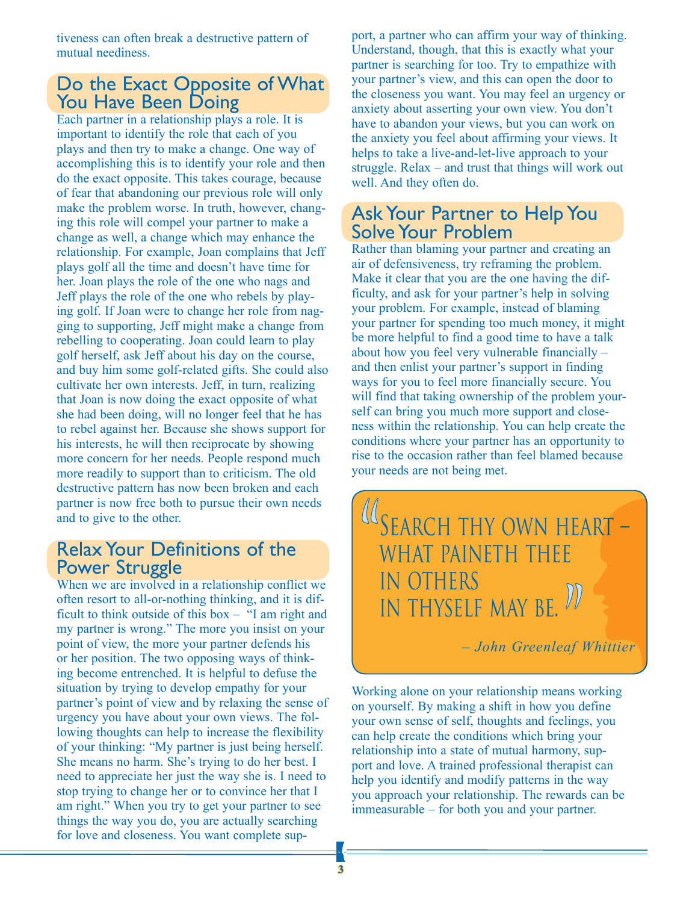tiveness can often break a destructive pattern of mutual neediness.

# Do the Exact Opposite of What You Have Been Doing

Each partner in a relationship plays a role. It is important to identify the role that each of you plays and then try to make a change. One way of accomplishing this is to identify your role and then do the exact opposite. This takes courage, because of fear that abandoning our previous role will only make the problem worse. In truth, however, changing this role will compel your partner to make a change as well, a change which may enhance the relationship. For example, Joan complains that Jeff plays golf all the time and doesn't have time for her. Joan plays the role of the one who nags and Jeff plays the role of the one who rebels by playing golf. If Joan were to change her role from nagging to supporting, Jeff might make a change from rebelling to cooperating. Joan could learn to play golf herself, ask Jeff about his day on the course, and buy him some golf-related gifts. She could also cultivate her own interests. Jeff, in turn, realizing that Joan is now doing the exact opposite of what she had been doing, will no longer feel that he has to rebel against her. Because she shows support for his interests, he will then reciprocate by showing more concern for her needs. People respond much more readily to support than to criticism. The old destructive pattern has now been broken and each partner is now free both to pursue their own needs and to give to the other.

#### Relax Your Definitions of the Power Struggle

When we are involved in a relationship conflict we often resort to all-or-nothing thinking, and it is difficult to think outside of this box – "I am right and my partner is wrong." The more you insist on your point of view, the more your partner defends his or her position. The two opposing ways of thinking become entrenched. It is helpful to defuse the situation by trying to develop empathy for your partner's point of view and by relaxing the sense of urgency you have about your own views. The following thoughts can help to increase the flexibility of your thinking: "My partner is just being herself. She means no harm. She's trying to do her best. I need to appreciate her just the way she is. I need to stop trying to change her or to convince her that I am right." When you try to get your partner to see things the way you do, you are actually searching for love and closeness. You want complete support, a partner who can affirm your way of thinking. Understand, though, that this is exactly what your partner is searching for too. Try to empathize with your partner's view, and this can open the door to the closeness you want. You may feel an urgency or anxiety about asserting your own view. You don't have to abandon your views, but you can work on the anxiety you feel about affirming your views. It helps to take a live-and-let-live approach to your struggle. Relax – and trust that things will work out well. And they often do.

### Ask Your Partner to Help You Solve Your Problem

Rather than blaming your partner and creating an air of defensiveness, try reframing the problem. Make it clear that you are the one having the difficulty, and ask for your partner's help in solving your problem. For example, instead of blaming your partner for spending too much money, it might be more helpful to find a good time to have a talk about how you feel very vulnerable financially – and then enlist your partner's support in finding ways for you to feel more financially secure. You will find that taking ownership of the problem yourself can bring you much more support and closeness within the relationship. You can help create the conditions where your partner has an opportunity to rise to the occasion rather than feel blamed because your needs are not being met.

Ί SEARCH THY OWN HEART – what paineth thee in others in thyself may be.

*– John Greenleaf Whittier*

Working alone on your relationship means working on yourself. By making a shift in how you define your own sense of self, thoughts and feelings, you can help create the conditions which bring your relationship into a state of mutual harmony, support and love. A trained professional therapist can help you identify and modify patterns in the way you approach your relationship. The rewards can be immeasurable – for both you and your partner.